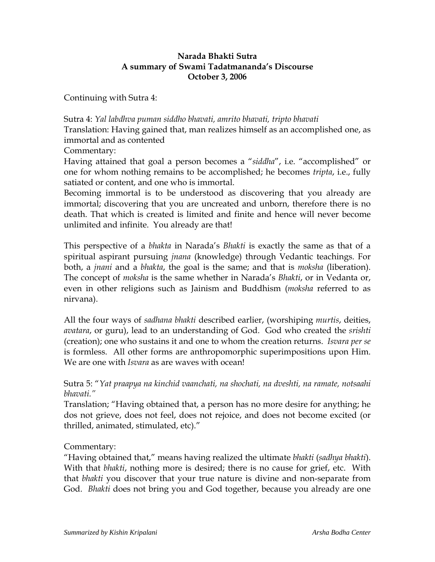## **Narada Bhakti Sutra A summary of Swami Tadatmananda's Discourse October 3, 2006**

Continuing with Sutra 4:

Sutra 4: *Yal labdhva puman siddho bhavati, amrito bhavati, tripto bhavati* Translation: Having gained that, man realizes himself as an accomplished one, as immortal and as contented

Commentary:

Having attained that goal a person becomes a "*siddha*", i.e. "accomplished" or one for whom nothing remains to be accomplished; he becomes *tripta*, i.e., fully satiated or content, and one who is immortal.

Becoming immortal is to be understood as discovering that you already are immortal; discovering that you are uncreated and unborn, therefore there is no death. That which is created is limited and finite and hence will never become unlimited and infinite. You already are that!

This perspective of a *bhakta* in Narada's *Bhakti* is exactly the same as that of a spiritual aspirant pursuing *jnana* (knowledge) through Vedantic teachings. For both, a *jnani* and a *bhakta*, the goal is the same; and that is *moksha* (liberation). The concept of *moksha* is the same whether in Narada's *Bhakti*, or in Vedanta or, even in other religions such as Jainism and Buddhism (*moksha* referred to as nirvana).

All the four ways of *sadhana bhakti* described earlier, (worshiping *murtis*, deities, *avatara*, or guru), lead to an understanding of God. God who created the *srishti* (creation); one who sustains it and one to whom the creation returns. *Isvara per se* is formless. All other forms are anthropomorphic superimpositions upon Him. We are one with *Isvara* as are waves with ocean!

Sutra 5: "*Yat praapya na kinchid vaanchati, na shochati, na dveshti, na ramate, notsaahi bhavati."*

Translation; "Having obtained that, a person has no more desire for anything; he dos not grieve, does not feel, does not rejoice, and does not become excited (or thrilled, animated, stimulated, etc)."

Commentary:

"Having obtained that," means having realized the ultimate *bhakti* (*sadhya bhakti*). With that *bhakti*, nothing more is desired; there is no cause for grief, etc. With that *bhakti* you discover that your true nature is divine and non-separate from God. *Bhakti* does not bring you and God together, because you already are one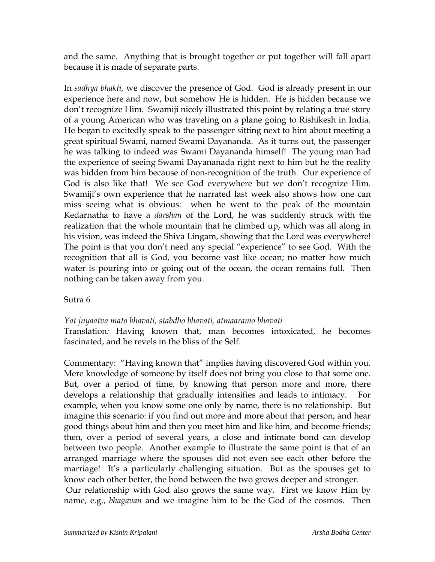and the same. Anything that is brought together or put together will fall apart because it is made of separate parts.

In *sadhya bhakti,* we discover the presence of God. God is already present in our experience here and now, but somehow He is hidden. He is hidden because we don't recognize Him. Swamiji nicely illustrated this point by relating a true story of a young American who was traveling on a plane going to Rishikesh in India. He began to excitedly speak to the passenger sitting next to him about meeting a great spiritual Swami, named Swami Dayananda. As it turns out, the passenger he was talking to indeed was Swami Dayananda himself! The young man had the experience of seeing Swami Dayananada right next to him but he the reality was hidden from him because of non-recognition of the truth. Our experience of God is also like that! We see God everywhere but we don't recognize Him. Swamiji's own experience that he narrated last week also shows how one can miss seeing what is obvious: when he went to the peak of the mountain Kedarnatha to have a *darshan* of the Lord, he was suddenly struck with the realization that the whole mountain that he climbed up, which was all along in his vision, was indeed the Shiva Lingam, showing that the Lord was everywhere! The point is that you don't need any special "experience" to see God. With the recognition that all is God, you become vast like ocean; no matter how much water is pouring into or going out of the ocean, the ocean remains full. Then nothing can be taken away from you.

## Sutra 6

## *Yat jnyaatva mato bhavati, stabdho bhavati, atmaaramo bhavati*

Translation*:* Having known that, man becomes intoxicated, he becomes fascinated, and he revels in the bliss of the Self.

Commentary: "Having known that" implies having discovered God within you. Mere knowledge of someone by itself does not bring you close to that some one. But, over a period of time, by knowing that person more and more, there develops a relationship that gradually intensifies and leads to intimacy. For example, when you know some one only by name, there is no relationship. But imagine this scenario: if you find out more and more about that person, and hear good things about him and then you meet him and like him, and become friends; then, over a period of several years, a close and intimate bond can develop between two people. Another example to illustrate the same point is that of an arranged marriage where the spouses did not even see each other before the marriage! It's a particularly challenging situation. But as the spouses get to know each other better, the bond between the two grows deeper and stronger. Our relationship with God also grows the same way. First we know Him by name, e.g., *bhagavan* and we imagine him to be the God of the cosmos. Then